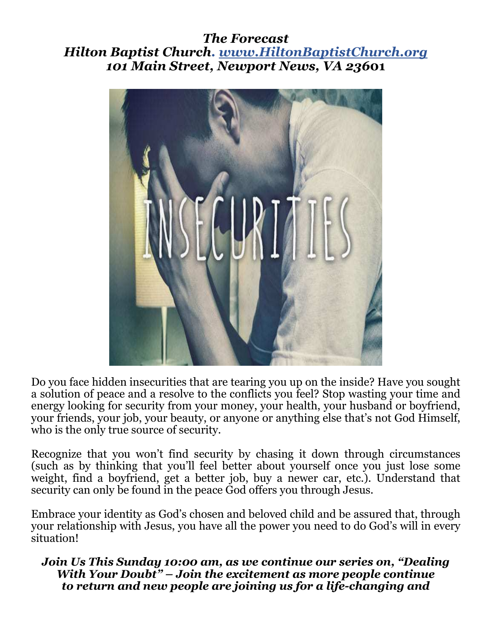## *The Forecast Hilton Baptist Church. www.HiltonBaptistChurch.org 101 Main Street, Newport News, VA 236***01**



Do you face hidden insecurities that are tearing you up on the inside? Have you sought a solution of peace and a resolve to the conflicts you feel? Stop wasting your time and energy looking for security from your money, your health, your husband or boyfriend, your friends, your job, your beauty, or anyone or anything else that's not God Himself, who is the only true source of security.

Recognize that you won't find security by chasing it down through circumstances (such as by thinking that you'll feel better about yourself once you just lose some weight, find a boyfriend, get a better job, buy a newer car, etc.). Understand that security can only be found in the peace God offers you through Jesus.

Embrace your identity as God's chosen and beloved child and be assured that, through your relationship with Jesus, you have all the power you need to do God's will in every situation!

#### *Join Us This Sunday 10:00 am, as we continue our series on, "Dealing With Your Doubt" – Join the excitement as more people continue to return and new people are joining us for a life-changing and*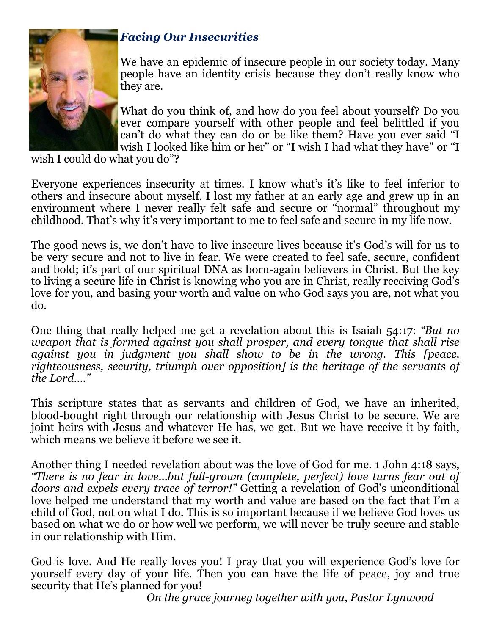

## *Facing Our Insecurities*

We have an epidemic of insecure people in our society today. Many people have an identity crisis because they don't really know who they are.

What do you think of, and how do you feel about yourself? Do you ever compare yourself with other people and feel belittled if you can't do what they can do or be like them? Have you ever said "I wish I looked like him or her" or "I wish I had what they have" or "I

wish I could do what you do"?

Everyone experiences insecurity at times. I know what's it's like to feel inferior to others and insecure about myself. I lost my father at an early age and grew up in an environment where I never really felt safe and secure or "normal" throughout my childhood. That's why it's very important to me to feel safe and secure in my life now.

The good news is, we don't have to live insecure lives because it's God's will for us to be very secure and not to live in fear. We were created to feel safe, secure, confident and bold; it's part of our spiritual DNA as born-again believers in Christ. But the key to living a secure life in Christ is knowing who you are in Christ, really receiving God's love for you, and basing your worth and value on who God says you are, not what you do.

One thing that really helped me get a revelation about this is Isaiah 54:17: *"But no weapon that is formed against you shall prosper, and every tongue that shall rise against you in judgment you shall show to be in the wrong. This [peace, righteousness, security, triumph over opposition] is the heritage of the servants of the Lord…."*

This scripture states that as servants and children of God, we have an inherited, blood-bought right through our relationship with Jesus Christ to be secure. We are joint heirs with Jesus and whatever He has, we get. But we have receive it by faith, which means we believe it before we see it.

Another thing I needed revelation about was the love of God for me. 1 John 4:18 says, *"There is no fear in love…but full-grown (complete, perfect) love turns fear out of doors and expels every trace of terror!"* Getting a revelation of God's unconditional love helped me understand that my worth and value are based on the fact that I'm a child of God, not on what I do. This is so important because if we believe God loves us based on what we do or how well we perform, we will never be truly secure and stable in our relationship with Him.

God is love. And He really loves you! I pray that you will experience God's love for yourself every day of your life. Then you can have the life of peace, joy and true security that He's planned for you!

*On the grace journey together with you, Pastor Lynwood*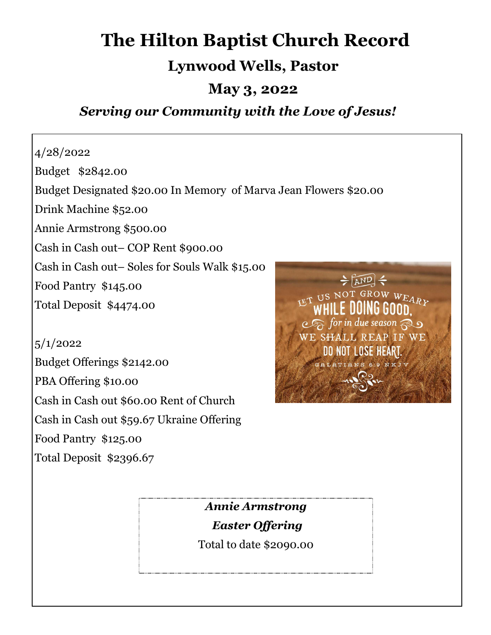# **The Hilton Baptist Church Record**

# **Lynwood Wells, Pastor**

# **May 3, 2022**

# *Serving our Community with the Love of Jesus!*

4/28/2022 Budget \$2842.00 Budget Designated \$20.00 In Memory of Marva Jean Flowers \$20.00 Drink Machine \$52.00 Annie Armstrong \$500.00 Cash in Cash out– COP Rent \$900.00 Cash in Cash out– Soles for Souls Walk \$15.00  $\frac{1}{2}$   $\sqrt{2}ND$ Food Pantry \$145.00 TET Total Deposit \$4474.00

5/1/2022 Budget Offerings \$2142.00 PBA Offering \$10.00 Cash in Cash out \$60.00 Rent of Church Cash in Cash out \$59.67 Ukraine Offering Food Pantry \$125.00 Total Deposit \$2396.67



*Annie Armstrong* 

 *Easter Offering*

Total to date \$2090.00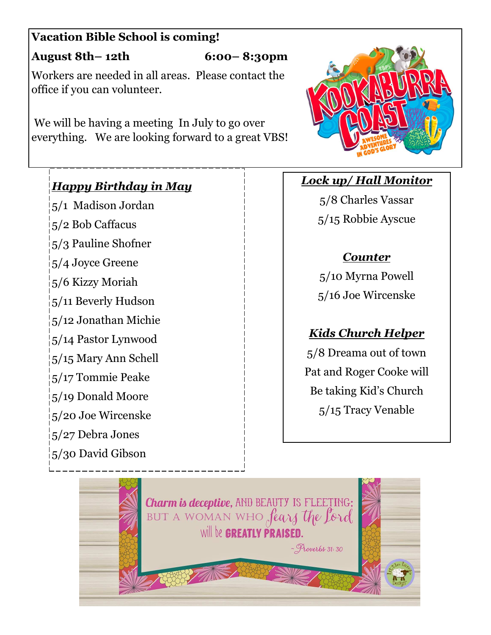# **Vacation Bible School is coming!**

# **August 8th– 12th 6:00– 8:30pm**

Workers are needed in all areas. Please contact the office if you can volunteer.

 We will be having a meeting In July to go over everything. We are looking forward to a great VBS!

# *Happy Birthday in May*

5/1 Madison Jordan 5/2 Bob Caffacus 5/3 Pauline Shofner 5/4 Joyce Greene 5/6 Kizzy Moriah 5/11 Beverly Hudson 5/12 Jonathan Michie 5/14 Pastor Lynwood 5/15 Mary Ann Schell 5/17 Tommie Peake 5/19 Donald Moore 5/20 Joe Wircenske 5/27 Debra Jones 5/30 David Gibson



# *Lock up/ Hall Monitor*

5/8 Charles Vassar 5/15 Robbie Ayscue

# *Counter*

5/10 Myrna Powell 5/16 Joe Wircenske

# *Kids Church Helper*

5/8 Dreama out of town Pat and Roger Cooke will Be taking Kid's Church 5/15 Tracy Venable

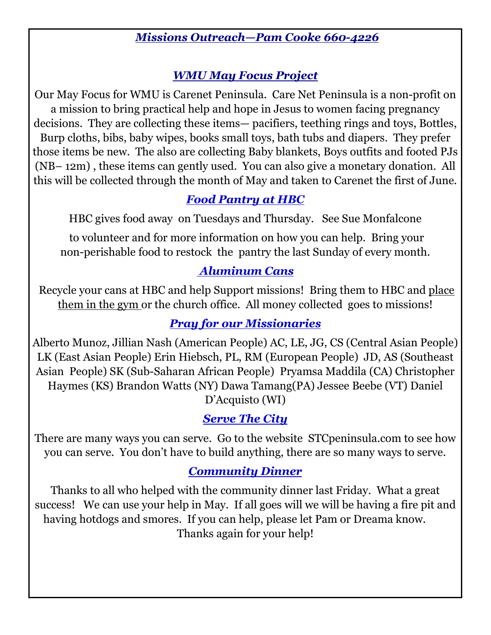### *Missions Outreach—Pam Cooke 660-4226*

#### *WMU May Focus Project*

Our May Focus for WMU is Carenet Peninsula. Care Net Peninsula is a non-profit on a mission to bring practical help and hope in Jesus to women facing pregnancy decisions. They are collecting these items— pacifiers, teething rings and toys, Bottles, Burp cloths, bibs, baby wipes, books small toys, bath tubs and diapers. They prefer those items be new. The also are collecting Baby blankets, Boys outfits and footed PJs (NB– 12m) , these items can gently used. You can also give a monetary donation. All this will be collected through the month of May and taken to Carenet the first of June.

# *Food Pantry at HBC*

HBC gives food away on Tuesdays and Thursday. See Sue Monfalcone

to volunteer and for more information on how you can help. Bring your non-perishable food to restock the pantry the last Sunday of every month.

### *Aluminum Cans*

 Recycle your cans at HBC and help Support missions! Bring them to HBC and place them in the gym or the church office. All money collected goes to missions!

# *Pray for our Missionaries*

Alberto Munoz, Jillian Nash (American People) AC, LE, JG, CS (Central Asian People) LK (East Asian People) Erin Hiebsch, PL, RM (European People) JD, AS (Southeast Asian People) SK (Sub-Saharan African People) Pryamsa Maddila (CA) Christopher Haymes (KS) Brandon Watts (NY) Dawa Tamang(PA) Jessee Beebe (VT) Daniel D'Acquisto (WI)

# *Serve The City*

There are many ways you can serve. Go to the website STCpeninsula.com to see how you can serve. You don't have to build anything, there are so many ways to serve.

# *Community Dinner*

Thanks to all who helped with the community dinner last Friday. What a great success! We can use your help in May. If all goes will we will be having a fire pit and having hotdogs and smores. If you can help, please let Pam or Dreama know. Thanks again for your help!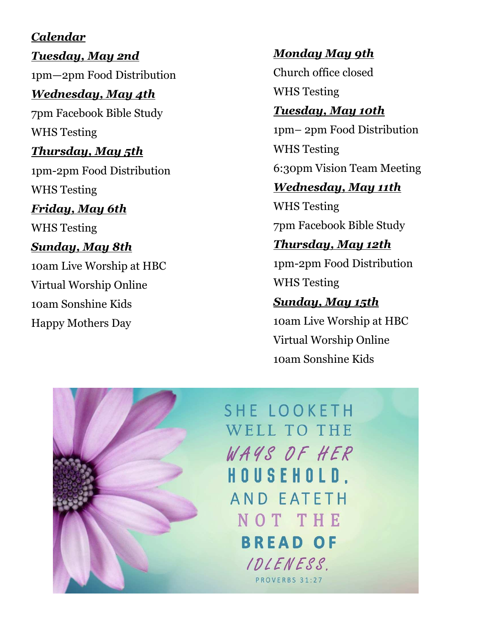#### *Calendar*

*Tuesday, May 2nd*  1pm—2pm Food Distribution *Wednesday, May 4th*  7pm Facebook Bible Study WHS Testing

#### *Thursday, May 5th*

1pm-2pm Food Distribution WHS Testing

#### *Friday, May 6th*

WHS Testing

#### *Sunday, May 8th*

10am Live Worship at HBC Virtual Worship Online 10am Sonshine Kids Happy Mothers Day

*Monday May 9th*  Church office closed WHS Testing

*Tuesday, May 10th*  1pm– 2pm Food Distribution WHS Testing 6:30pm Vision Team Meeting

#### *Wednesday, May 11th*

WHS Testing 7pm Facebook Bible Study

### *Thursday, May 12th*

1pm-2pm Food Distribution WHS Testing

#### *Sunday, May 15th*

10am Live Worship at HBC Virtual Worship Online 10am Sonshine Kids



SHE LOOKETH WELL TO THE WAYS OF HER HOUSEHOLD. AND EATETH NOT THE **BREAD OF** IDLENESS. PROVERBS 31:27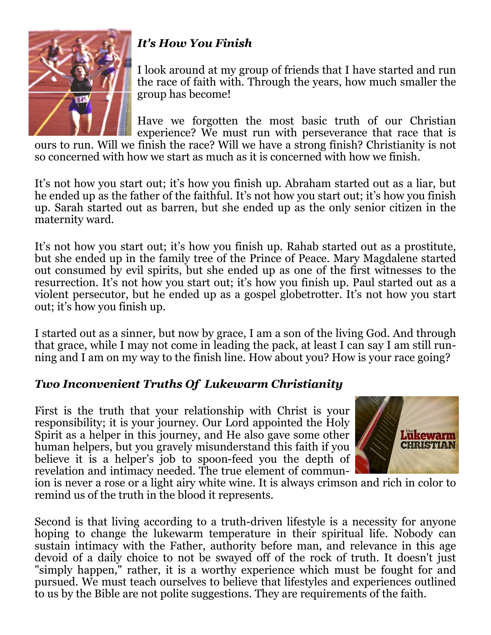

# *It's How You Finish*

I look around at my group of friends that I have started and run the race of faith with. Through the years, how much smaller the group has become!

Have we forgotten the most basic truth of our Christian experience? We must run with perseverance that race that is

ours to run. Will we finish the race? Will we have a strong finish? Christianity is not so concerned with how we start as much as it is concerned with how we finish.

It's not how you start out; it's how you finish up. Abraham started out as a liar, but he ended up as the father of the faithful. It's not how you start out; it's how you finish up. Sarah started out as barren, but she ended up as the only senior citizen in the maternity ward.

It's not how you start out; it's how you finish up. Rahab started out as a prostitute, but she ended up in the family tree of the Prince of Peace. Mary Magdalene started out consumed by evil spirits, but she ended up as one of the first witnesses to the resurrection. It's not how you start out; it's how you finish up. Paul started out as a violent persecutor, but he ended up as a gospel globetrotter. It's not how you start out; it's how you finish up.

I started out as a sinner, but now by grace, I am a son of the living God. And through that grace, while I may not come in leading the pack, at least I can say I am still running and I am on my way to the finish line. How about you? How is your race going?

### *Two Inconvenient Truths Of Lukewarm Christianity*

First is the truth that your relationship with Christ is your responsibility; it is your journey. Our Lord appointed the Holy Spirit as a helper in this journey, and He also gave some other human helpers, but you gravely misunderstand this faith if you believe it is a helper's job to spoon-feed you the depth of revelation and intimacy needed. The true element of commun-



ion is never a rose or a light airy white wine. It is always crimson and rich in color to remind us of the truth in the blood it represents.

Second is that living according to a truth-driven lifestyle is a necessity for anyone hoping to change the lukewarm temperature in their spiritual life. Nobody can sustain intimacy with the Father, authority before man, and relevance in this age devoid of a daily choice to not be swayed off of the rock of truth. It doesn't just "simply happen," rather, it is a worthy experience which must be fought for and pursued. We must teach ourselves to believe that lifestyles and experiences outlined to us by the Bible are not polite suggestions. They are requirements of the faith.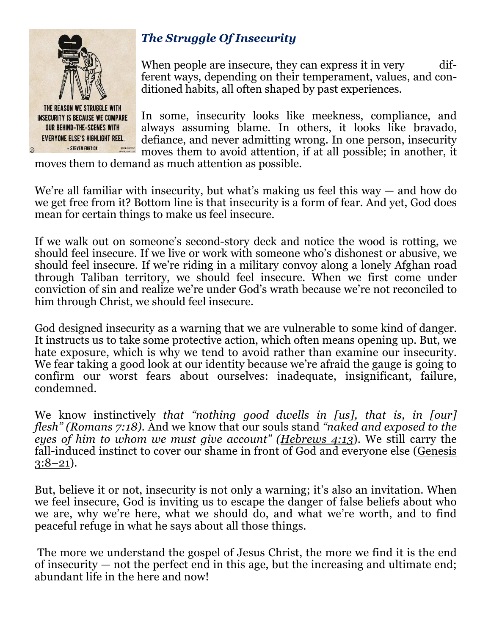

- STEVEN FURTICK

 $\widehat{S}$ 

# *The Struggle Of Insecurity*

When people are insecure, they can express it in very different ways, depending on their temperament, values, and conditioned habits, all often shaped by past experiences.

In some, insecurity looks like meekness, compliance, and always assuming blame. In others, it looks like bravado, defiance, and never admitting wrong. In one person, insecurity moves them to avoid attention, if at all possible; in another, it

moves them to demand as much attention as possible.

@sonryorown<br>sonrybrown.net

We're all familiar with insecurity, but what's making us feel this way — and how do we get free from it? Bottom line is that insecurity is a form of fear. And yet, God does mean for certain things to make us feel insecure.

If we walk out on someone's second-story deck and notice the wood is rotting, we should feel insecure. If we live or work with someone who's dishonest or abusive, we should feel insecure. If we're riding in a military convoy along a lonely Afghan road through Taliban territory, we should feel insecure. When we first come under conviction of sin and realize we're under God's wrath because we're not reconciled to him through Christ, we should feel insecure.

God designed insecurity as a warning that we are vulnerable to some kind of danger. It instructs us to take some protective action, which often means opening up. But, we hate exposure, which is why we tend to avoid rather than examine our insecurity. We fear taking a good look at our identity because we're afraid the gauge is going to confirm our worst fears about ourselves: inadequate, insignificant, failure, condemned.

We know instinctively *that "nothing good dwells in [us], that is, in [our] flesh" (Romans 7:18).* And we know that our souls stand *"naked and exposed to the eyes of him to whom we must give account" (Hebrews 4:13*). We still carry the fall-induced instinct to cover our shame in front of God and everyone else (Genesis  $3:8-21$ ).

But, believe it or not, insecurity is not only a warning; it's also an invitation. When we feel insecure, God is inviting us to escape the danger of false beliefs about who we are, why we're here, what we should do, and what we're worth, and to find peaceful refuge in what he says about all those things.

 The more we understand the gospel of Jesus Christ, the more we find it is the end of insecurity — not the perfect end in this age, but the increasing and ultimate end; abundant life in the here and now!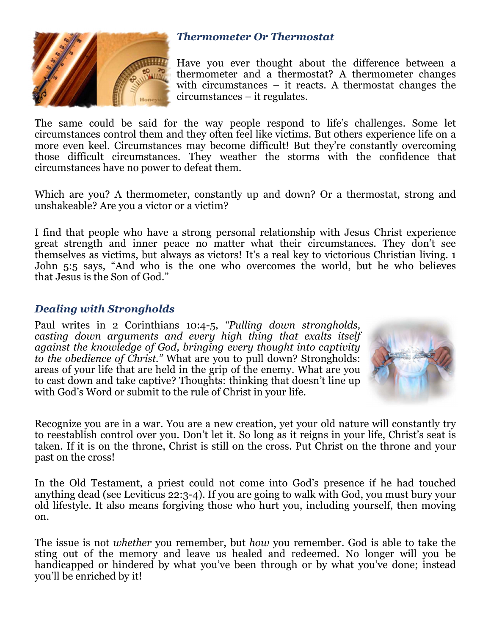

#### *Thermometer Or Thermostat*

Have you ever thought about the difference between a thermometer and a thermostat? A thermometer changes with circumstances – it reacts. A thermostat changes the circumstances – it regulates.

The same could be said for the way people respond to life's challenges. Some let circumstances control them and they often feel like victims. But others experience life on a more even keel. Circumstances may become difficult! But they're constantly overcoming those difficult circumstances. They weather the storms with the confidence that circumstances have no power to defeat them.

Which are you? A thermometer, constantly up and down? Or a thermostat, strong and unshakeable? Are you a victor or a victim?

I find that people who have a strong personal relationship with Jesus Christ experience great strength and inner peace no matter what their circumstances. They don't see themselves as victims, but always as victors! It's a real key to victorious Christian living. 1 John 5:5 says, "And who is the one who overcomes the world, but he who believes that Jesus is the Son of God."

#### *Dealing with Strongholds*

Paul writes in 2 Corinthians 10:4-5, *"Pulling down strongholds, casting down arguments and every high thing that exalts itself against the knowledge of God, bringing every thought into captivity to the obedience of Christ."* What are you to pull down? Strongholds: areas of your life that are held in the grip of the enemy. What are you to cast down and take captive? Thoughts: thinking that doesn't line up with God's Word or submit to the rule of Christ in your life.



Recognize you are in a war. You are a new creation, yet your old nature will constantly try to reestablish control over you. Don't let it. So long as it reigns in your life, Christ's seat is taken. If it is on the throne, Christ is still on the cross. Put Christ on the throne and your past on the cross!

In the Old Testament, a priest could not come into God's presence if he had touched anything dead (see Leviticus 22:3-4). If you are going to walk with God, you must bury your old lifestyle. It also means forgiving those who hurt you, including yourself, then moving on.

The issue is not *whether* you remember, but *how* you remember. God is able to take the sting out of the memory and leave us healed and redeemed. No longer will you be handicapped or hindered by what you've been through or by what you've done; instead you'll be enriched by it!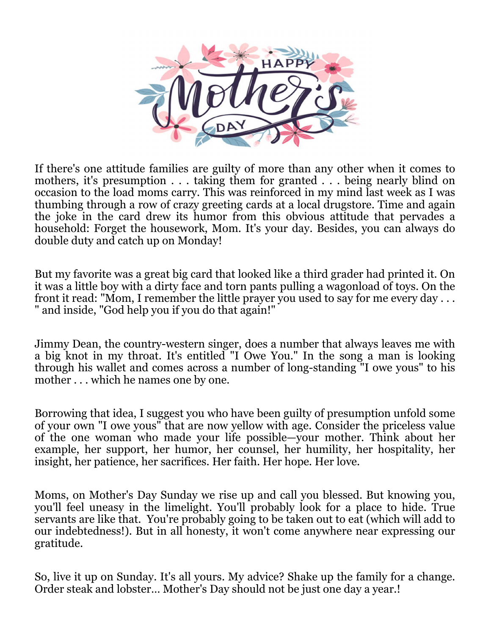

If there's one attitude families are guilty of more than any other when it comes to mothers, it's presumption . . . taking them for granted . . . being nearly blind on occasion to the load moms carry. This was reinforced in my mind last week as I was thumbing through a row of crazy greeting cards at a local drugstore. Time and again the joke in the card drew its humor from this obvious attitude that pervades a household: Forget the housework, Mom. It's your day. Besides, you can always do double duty and catch up on Monday!

But my favorite was a great big card that looked like a third grader had printed it. On it was a little boy with a dirty face and torn pants pulling a wagonload of toys. On the front it read: "Mom, I remember the little prayer you used to say for me every day  $\dots$ " and inside, "God help you if you do that again!"

Jimmy Dean, the country-western singer, does a number that always leaves me with a big knot in my throat. It's entitled "I Owe You." In the song a man is looking through his wallet and comes across a number of long-standing "I owe yous" to his mother . . . which he names one by one.

Borrowing that idea, I suggest you who have been guilty of presumption unfold some of your own "I owe yous" that are now yellow with age. Consider the priceless value of the one woman who made your life possible—your mother. Think about her example, her support, her humor, her counsel, her humility, her hospitality, her insight, her patience, her sacrifices. Her faith. Her hope. Her love.

Moms, on Mother's Day Sunday we rise up and call you blessed. But knowing you, you'll feel uneasy in the limelight. You'll probably look for a place to hide. True servants are like that. You're probably going to be taken out to eat (which will add to our indebtedness!). But in all honesty, it won't come anywhere near expressing our gratitude.

So, live it up on Sunday. It's all yours. My advice? Shake up the family for a change. Order steak and lobster… Mother's Day should not be just one day a year.!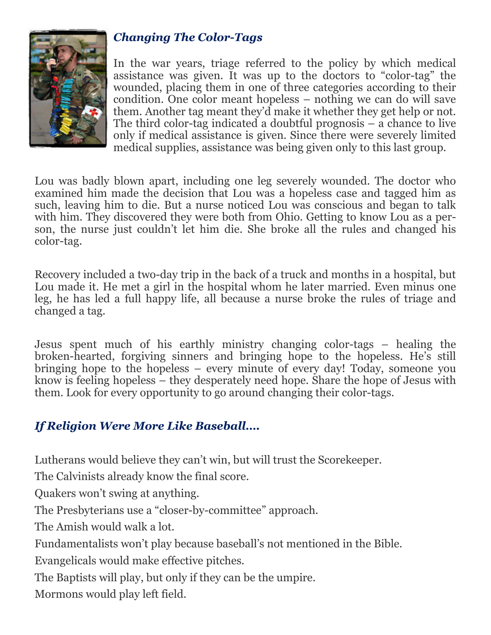#### *Changing The Color-Tags*

In the war years, triage referred to the policy by which medical assistance was given. It was up to the doctors to "color-tag" the wounded, placing them in one of three categories according to their condition. One color meant hopeless – nothing we can do will save them. Another tag meant they'd make it whether they get help or not. The third color-tag indicated a doubtful prognosis – a chance to live only if medical assistance is given. Since there were severely limited medical supplies, assistance was being given only to this last group.

Lou was badly blown apart, including one leg severely wounded. The doctor who examined him made the decision that Lou was a hopeless case and tagged him as such, leaving him to die. But a nurse noticed Lou was conscious and began to talk with him. They discovered they were both from Ohio. Getting to know Lou as a person, the nurse just couldn't let him die. She broke all the rules and changed his color-tag.

Recovery included a two-day trip in the back of a truck and months in a hospital, but Lou made it. He met a girl in the hospital whom he later married. Even minus one leg, he has led a full happy life, all because a nurse broke the rules of triage and changed a tag.

Jesus spent much of his earthly ministry changing color-tags – healing the broken-hearted, forgiving sinners and bringing hope to the hopeless. He's still bringing hope to the hopeless – every minute of every day! Today, someone you know is feeling hopeless – they desperately need hope. Share the hope of Jesus with them. Look for every opportunity to go around changing their color-tags.

### *If Religion Were More Like Baseball….*

Lutherans would believe they can't win, but will trust the Scorekeeper.

The Calvinists already know the final score.

Quakers won't swing at anything.

The Presbyterians use a "closer-by-committee" approach.

The Amish would walk a lot.

Fundamentalists won't play because baseball's not mentioned in the Bible.

Evangelicals would make effective pitches.

The Baptists will play, but only if they can be the umpire.

Mormons would play left field.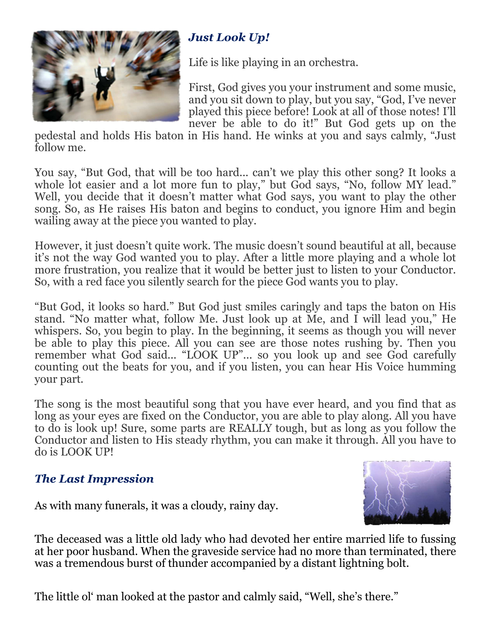

# *Just Look Up!*

Life is like playing in an orchestra.

First, God gives you your instrument and some music, and you sit down to play, but you say, "God, I've never played this piece before! Look at all of those notes! I'll never be able to do it!" But God gets up on the

pedestal and holds His baton in His hand. He winks at you and says calmly, "Just follow me.

You say, "But God, that will be too hard... can't we play this other song? It looks a whole lot easier and a lot more fun to play," but God says, "No, follow MY lead." Well, you decide that it doesn't matter what God says, you want to play the other song. So, as He raises His baton and begins to conduct, you ignore Him and begin wailing away at the piece you wanted to play.

However, it just doesn't quite work. The music doesn't sound beautiful at all, because it's not the way God wanted you to play. After a little more playing and a whole lot more frustration, you realize that it would be better just to listen to your Conductor. So, with a red face you silently search for the piece God wants you to play.

"But God, it looks so hard." But God just smiles caringly and taps the baton on His stand. "No matter what, follow Me. Just look up at Me, and I will lead you," He whispers. So, you begin to play. In the beginning, it seems as though you will never be able to play this piece. All you can see are those notes rushing by. Then you remember what God said... "LOOK UP"... so you look up and see God carefully counting out the beats for you, and if you listen, you can hear His Voice humming your part.

The song is the most beautiful song that you have ever heard, and you find that as long as your eyes are fixed on the Conductor, you are able to play along. All you have to do is look up! Sure, some parts are REALLY tough, but as long as you follow the Conductor and listen to His steady rhythm, you can make it through. All you have to do is LOOK UP!

### *The Last Impression*

As with many funerals, it was a cloudy, rainy day.



The deceased was a little old lady who had devoted her entire married life to fussing at her poor husband. When the graveside service had no more than terminated, there was a tremendous burst of thunder accompanied by a distant lightning bolt.

The little ol' man looked at the pastor and calmly said, "Well, she's there."